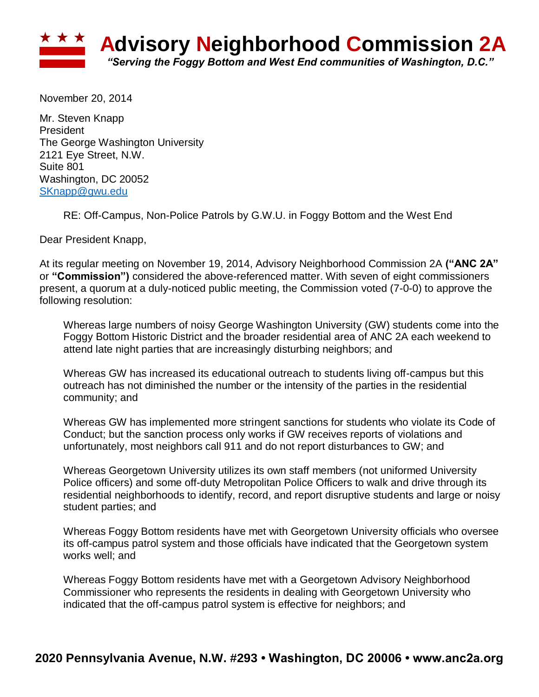

November 20, 2014

Mr. Steven Knapp President The George Washington University 2121 Eye Street, N.W. Suite 801 Washington, DC 20052 [SKnapp@gwu.edu](mailto:SKnapp@gwu.edu)

RE: Off-Campus, Non-Police Patrols by G.W.U. in Foggy Bottom and the West End

Dear President Knapp,

At its regular meeting on November 19, 2014, Advisory Neighborhood Commission 2A **("ANC 2A"**  or **"Commission")** considered the above-referenced matter. With seven of eight commissioners present, a quorum at a duly-noticed public meeting, the Commission voted (7-0-0) to approve the following resolution:

Whereas large numbers of noisy George Washington University (GW) students come into the Foggy Bottom Historic District and the broader residential area of ANC 2A each weekend to attend late night parties that are increasingly disturbing neighbors; and

Whereas GW has increased its educational outreach to students living off-campus but this outreach has not diminished the number or the intensity of the parties in the residential community; and

Whereas GW has implemented more stringent sanctions for students who violate its Code of Conduct; but the sanction process only works if GW receives reports of violations and unfortunately, most neighbors call 911 and do not report disturbances to GW; and

Whereas Georgetown University utilizes its own staff members (not uniformed University Police officers) and some off-duty Metropolitan Police Officers to walk and drive through its residential neighborhoods to identify, record, and report disruptive students and large or noisy student parties; and

Whereas Foggy Bottom residents have met with Georgetown University officials who oversee its off-campus patrol system and those officials have indicated that the Georgetown system works well; and

Whereas Foggy Bottom residents have met with a Georgetown Advisory Neighborhood Commissioner who represents the residents in dealing with Georgetown University who indicated that the off-campus patrol system is effective for neighbors; and